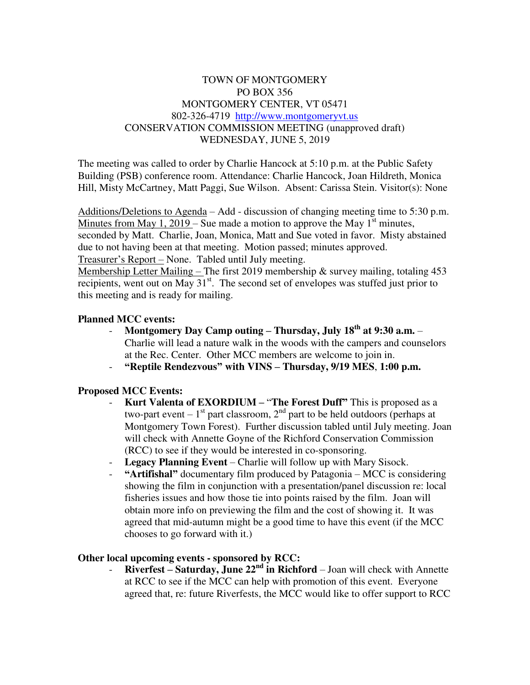## TOWN OF MONTGOMERY PO BOX 356 MONTGOMERY CENTER, VT 05471 802-326-4719 [http://www.montgomeryvt.us](http://www.montgomeryvt.us/) CONSERVATION COMMISSION MEETING (unapproved draft) WEDNESDAY, JUNE 5, 2019

The meeting was called to order by Charlie Hancock at 5:10 p.m. at the Public Safety Building (PSB) conference room. Attendance: Charlie Hancock, Joan Hildreth, Monica Hill, Misty McCartney, Matt Paggi, Sue Wilson. Absent: Carissa Stein. Visitor(s): None

Additions/Deletions to Agenda – Add - discussion of changing meeting time to 5:30 p.m. Minutes from May 1, 2019 – Sue made a motion to approve the May  $1<sup>st</sup>$  minutes, seconded by Matt. Charlie, Joan, Monica, Matt and Sue voted in favor. Misty abstained due to not having been at that meeting. Motion passed; minutes approved. Treasurer's Report – None. Tabled until July meeting.

Membership Letter Mailing – The first 2019 membership  $\&$  survey mailing, totaling 453 recipients, went out on May  $31<sup>st</sup>$ . The second set of envelopes was stuffed just prior to this meeting and is ready for mailing.

### **Planned MCC events:**

- **Montgomery Day Camp outing – Thursday, July 18th at 9:30 a.m.**  Charlie will lead a nature walk in the woods with the campers and counselors at the Rec. Center. Other MCC members are welcome to join in.
- **"Reptile Rendezvous" with VINS – Thursday, 9/19 MES**, **1:00 p.m.**

### **Proposed MCC Events:**

- **Kurt Valenta of EXORDIUM –** "**The Forest Duff"** This is proposed as a two-part event –  $1<sup>st</sup>$  part classroom,  $2<sup>nd</sup>$  part to be held outdoors (perhaps at Montgomery Town Forest). Further discussion tabled until July meeting. Joan will check with Annette Goyne of the Richford Conservation Commission (RCC) to see if they would be interested in co-sponsoring.
- **Legacy Planning Event** Charlie will follow up with Mary Sisock.
- **"Artifishal"** documentary film produced by Patagonia MCC is considering showing the film in conjunction with a presentation/panel discussion re: local fisheries issues and how those tie into points raised by the film. Joan will obtain more info on previewing the film and the cost of showing it. It was agreed that mid-autumn might be a good time to have this event (if the MCC chooses to go forward with it.)

### **Other local upcoming events - sponsored by RCC:**

- **Riverfest – Saturday, June 22nd in Richford** – Joan will check with Annette at RCC to see if the MCC can help with promotion of this event. Everyone agreed that, re: future Riverfests, the MCC would like to offer support to RCC